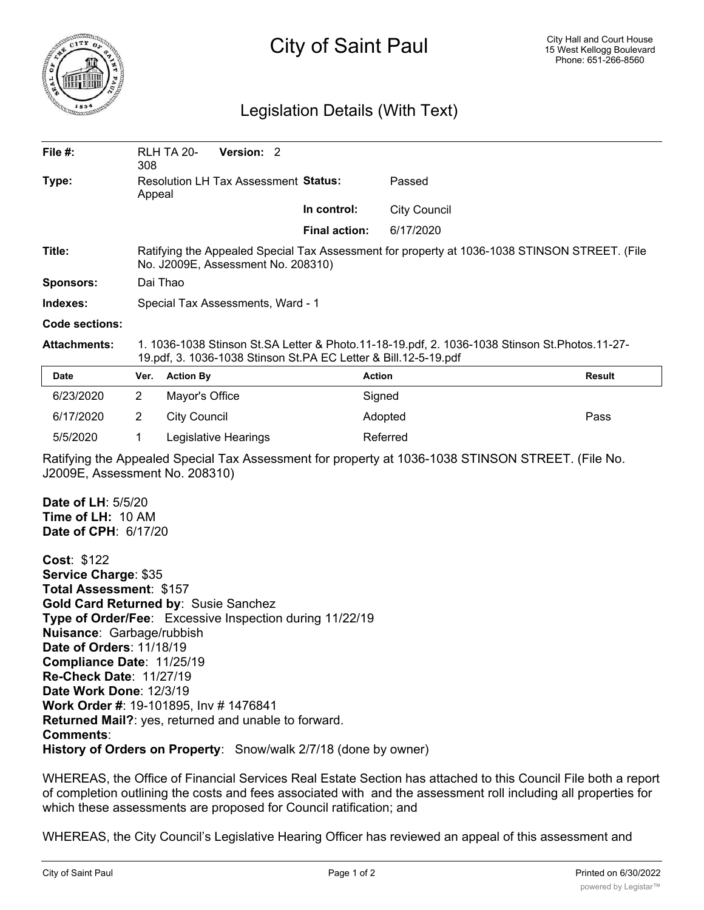

## City of Saint Paul

## Legislation Details (With Text)

| File #:                                                                                                                                              | 308                                                                                                                                                                  | Version: 2<br><b>RLH TA 20-</b>                                                                 |                      |                     |               |
|------------------------------------------------------------------------------------------------------------------------------------------------------|----------------------------------------------------------------------------------------------------------------------------------------------------------------------|-------------------------------------------------------------------------------------------------|----------------------|---------------------|---------------|
| Type:                                                                                                                                                | Appeal                                                                                                                                                               | <b>Resolution LH Tax Assessment Status:</b>                                                     |                      | Passed              |               |
|                                                                                                                                                      |                                                                                                                                                                      |                                                                                                 | In control:          | <b>City Council</b> |               |
|                                                                                                                                                      |                                                                                                                                                                      |                                                                                                 | <b>Final action:</b> | 6/17/2020           |               |
| Title:                                                                                                                                               | Ratifying the Appealed Special Tax Assessment for property at 1036-1038 STINSON STREET. (File<br>No. J2009E, Assessment No. 208310)                                  |                                                                                                 |                      |                     |               |
| <b>Sponsors:</b>                                                                                                                                     | Dai Thao                                                                                                                                                             |                                                                                                 |                      |                     |               |
| Indexes:                                                                                                                                             | Special Tax Assessments, Ward - 1                                                                                                                                    |                                                                                                 |                      |                     |               |
| Code sections:                                                                                                                                       |                                                                                                                                                                      |                                                                                                 |                      |                     |               |
| <b>Attachments:</b>                                                                                                                                  | 1. 1036-1038 Stinson St. SA Letter & Photo. 11-18-19.pdf, 2. 1036-1038 Stinson St. Photos. 11-27-<br>19.pdf, 3. 1036-1038 Stinson St.PA EC Letter & Bill.12-5-19.pdf |                                                                                                 |                      |                     |               |
| Date                                                                                                                                                 | Ver.                                                                                                                                                                 | <b>Action By</b>                                                                                |                      | <b>Action</b>       | <b>Result</b> |
| 6/23/2020                                                                                                                                            | $\overline{2}$                                                                                                                                                       | Mayor's Office                                                                                  |                      | Signed              |               |
| 6/17/2020                                                                                                                                            | $\overline{2}$                                                                                                                                                       | <b>City Council</b>                                                                             |                      | Adopted             | Pass          |
| 5/5/2020                                                                                                                                             | 1                                                                                                                                                                    | Legislative Hearings                                                                            |                      | Referred            |               |
| Ratifying the Appealed Special Tax Assessment for property at 1036-1038 STINSON STREET. (File No.<br>J2009E, Assessment No. 208310)                  |                                                                                                                                                                      |                                                                                                 |                      |                     |               |
| Date of LH: 5/5/20<br>Time of LH: 10 AM<br>Date of CPH: 6/17/20                                                                                      |                                                                                                                                                                      |                                                                                                 |                      |                     |               |
| Cost: \$122<br>Service Charge: \$35<br>Total Assessment: \$157<br>Nuisance: Garbage/rubbish<br>Date of Orders: 11/18/19<br>Compliance Date: 11/25/19 |                                                                                                                                                                      | Gold Card Returned by: Susie Sanchez<br>Type of Order/Fee: Excessive Inspection during 11/22/19 |                      |                     |               |

**Re-Check Date**: 11/27/19 **Date Work Done**: 12/3/19 **Work Order #**: 19-101895, Inv # 1476841 **Returned Mail?**: yes, returned and unable to forward. **Comments**: **History of Orders on Property**: Snow/walk 2/7/18 (done by owner)

WHEREAS, the Office of Financial Services Real Estate Section has attached to this Council File both a report of completion outlining the costs and fees associated with and the assessment roll including all properties for which these assessments are proposed for Council ratification; and

WHEREAS, the City Council's Legislative Hearing Officer has reviewed an appeal of this assessment and